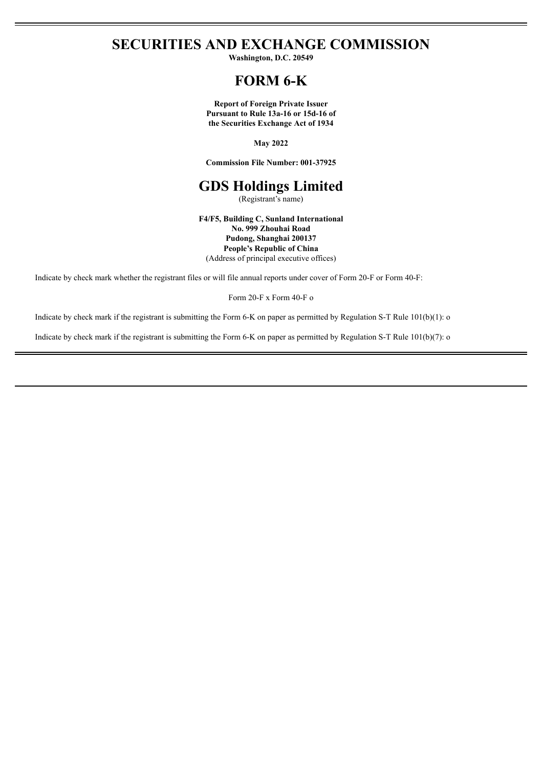## **SECURITIES AND EXCHANGE COMMISSION**

**Washington, D.C. 20549**

## **FORM 6-K**

**Report of Foreign Private Issuer Pursuant to Rule 13a-16 or 15d-16 of the Securities Exchange Act of 1934**

**May 2022**

**Commission File Number: 001-37925**

# **GDS Holdings Limited**

(Registrant's name)

**F4/F5, Building C, Sunland International No. 999 Zhouhai Road Pudong, Shanghai 200137 People's Republic of China** (Address of principal executive offices)

Indicate by check mark whether the registrant files or will file annual reports under cover of Form 20-F or Form 40-F:

Form 20-F x Form 40-F o

Indicate by check mark if the registrant is submitting the Form 6-K on paper as permitted by Regulation S-T Rule 101(b)(1): o

Indicate by check mark if the registrant is submitting the Form 6-K on paper as permitted by Regulation S-T Rule 101(b)(7): o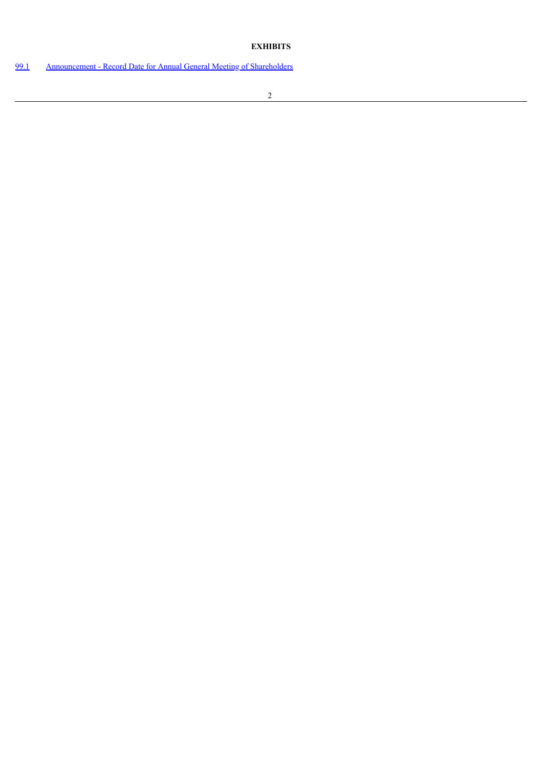### **EXHIBITS**

[99.1](#page-3-0) [Announcement](#page-3-0) - Record Date for Annual General Meeting of Shareholders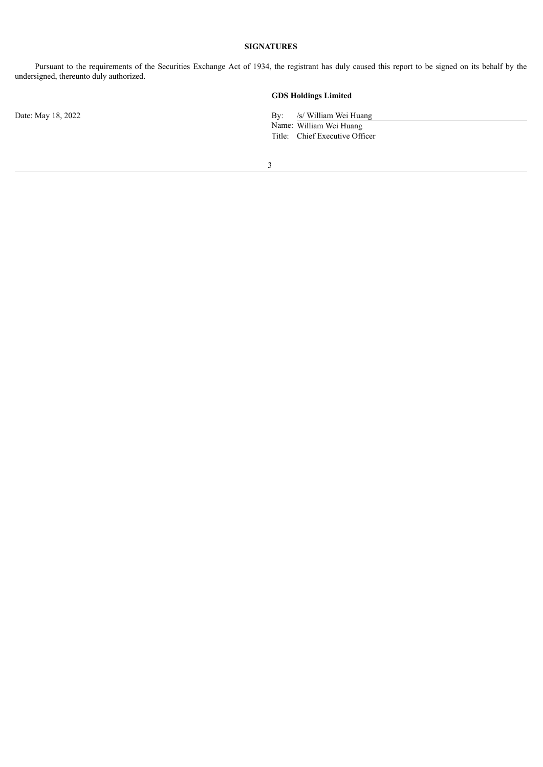#### **SIGNATURES**

Pursuant to the requirements of the Securities Exchange Act of 1934, the registrant has duly caused this report to be signed on its behalf by the undersigned, thereunto duly authorized.

#### **GDS Holdings Limited**

Date: May 18, 2022 By: /s/ William Wei Huang

Name: William Wei Huang Title: Chief Executive Officer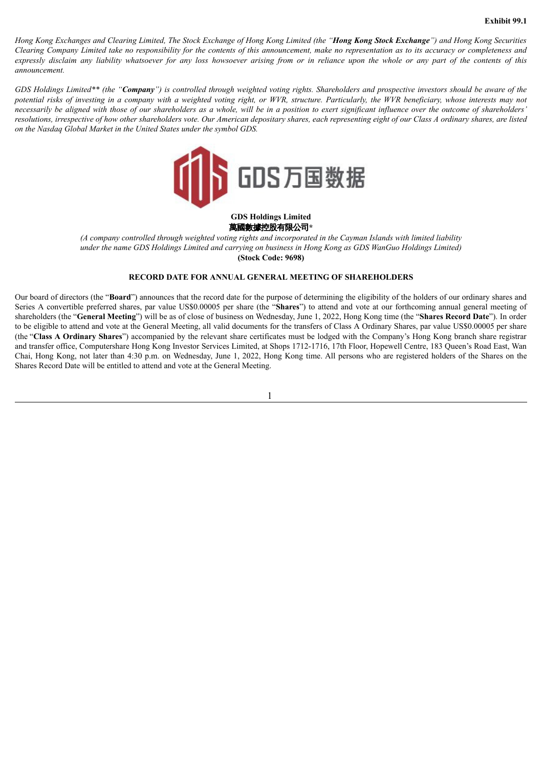<span id="page-3-0"></span>Hong Kong Exchanges and Clearing Limited, The Stock Exchange of Hong Kong Limited (the "Hong Kong Stock Exchange") and Hong Kong Securities Clearing Company Limited take no responsibility for the contents of this announcement, make no representation as to its accuracy or completeness and expressly disclaim any liability whatsoever for any loss howsoever arising from or in reliance upon the whole or any part of the contents of this *announcement.*

GDS Holdings Limited\*\* (the "Company") is controlled through weighted voting rights. Shareholders and prospective investors should be aware of the potential risks of investing in a company with a weighted voting right, or WVR, structure, Particularly, the WVR beneficiary, whose interests may not necessarily be aligned with those of our shareholders as a whole, will be in a position to exert significant influence over the outcome of shareholders' resolutions, irrespective of how other shareholders vote. Our American depositary shares, each representing eight of our Class A ordinary shares, are listed *on the Nasdaq Global Market in the United States under the symbol GDS.*



#### **GDS Holdings Limited** 萬國數據控股有限公司**\***

(A company controlled through weighted voting rights and incorporated in the Cayman Islands with limited liability under the name GDS Holdings Limited and carrying on business in Hong Kong as GDS WanGuo Holdings Limited) **(Stock Code: 9698)**

#### **RECORD DATE FOR ANNUAL GENERAL MEETING OF SHAREHOLDERS**

Our board of directors (the "**Board**") announces that the record date for the purpose of determining the eligibility of the holders of our ordinary shares and Series A convertible preferred shares, par value US\$0.00005 per share (the "**Shares**") to attend and vote at our forthcoming annual general meeting of shareholders (the "**General Meeting**") will be as of close of business on Wednesday, June 1, 2022, Hong Kong time (the "**Shares Record Date**"). In order to be eligible to attend and vote at the General Meeting, all valid documents for the transfers of Class A Ordinary Shares, par value US\$0.00005 per share (the "**Class A Ordinary Shares**") accompanied by the relevant share certificates must be lodged with the Company's Hong Kong branch share registrar and transfer office, Computershare Hong Kong Investor Services Limited, at Shops 1712-1716, 17th Floor, Hopewell Centre, 183 Queen's Road East, Wan Chai, Hong Kong, not later than 4:30 p.m. on Wednesday, June 1, 2022, Hong Kong time. All persons who are registered holders of the Shares on the Shares Record Date will be entitled to attend and vote at the General Meeting.

1